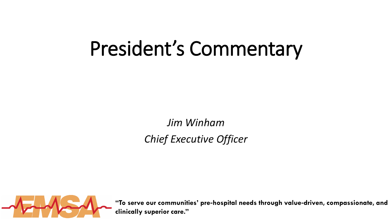# President's Commentary

*Jim Winham Chief Executive Officer*



**"To serve our communities' pre**‐**hospital needs through value**‐**driven, compassionate, and clinically superior care."**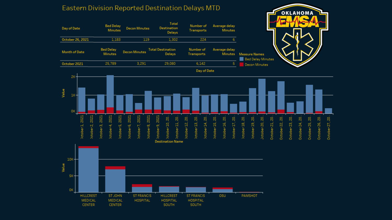

#### Eastern Division Reported Destination Delays MTD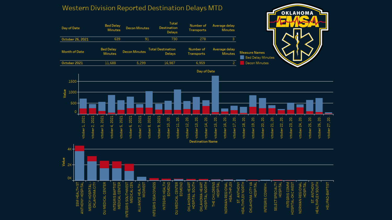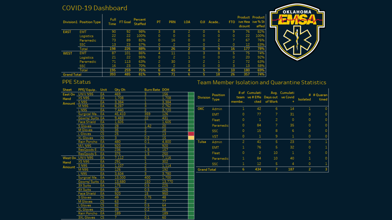### COVID-19 Dashboard

|                    | Division1 Position Type | Full<br>Time | FT Goal | Percent<br>Staffed | PT | <b>PRN</b>     | <b>LOA</b> | <b>ILO</b> | Acade   | FTO | dcount | Product Product<br>ive Hea ive % St<br>affed |
|--------------------|-------------------------|--------------|---------|--------------------|----|----------------|------------|------------|---------|-----|--------|----------------------------------------------|
| <b>EAST</b>        | <b>EMT</b>              | 90           | 92      | 98%                | 3  | 8              | っ          |            | 6       | 9   | 76     | 82%                                          |
|                    | Logistics               | 22           | 22      | 100%               | 0  | 0              | 0          | 0          | 0       | 0   | 22     | 100%                                         |
|                    | Paramedic               | 73           | 89      | 82%                | 0  | 16             | 0          | 0          | 2       |     | 67     | 76%                                          |
|                    | SSC                     | 13           | 23      | 57%                | 0  | 2              | 0          | 0          |         | 0   | 12     | 53%                                          |
|                    | Total                   | 198          | 226     | 88%                | з  | 26             | 2          |            | 9       | 16  | 177    | 78%                                          |
| WEST               | <b>EMT</b>              | 87           | 101     | 86%                | 4  | 11             | 0          | 3          | 8       | 5   | 75     | 74%                                          |
|                    | Logistics               | 21           | 22      | 95%                | 0  | 2              | 1          | 0          | 0       | 0   | 20     | 92%                                          |
|                    | Paramedic               | 71           | 113     | 63%                | 2  | 30             | 3          | 2          | 1       | 2   | 72     | 63%                                          |
|                    | <b>SSC</b>              | 16           | 23      | 70%                | 0  | $\overline{2}$ | 0          | 0          | $\circ$ | 3   | 13     | 58%                                          |
|                    | Total                   | 195          | 259     | 75%                | 6. | 45             |            |            | 9       | 10  | 180    | 69%                                          |
| <b>Grand Total</b> |                         | 393          | 485     | 81%                | 9  | 71             | 6          |            | 18      | 26  | 357    | 74%                                          |



#### PPE Status

#### Team Member Isolation and Quarantine Statistics

| Sheet   | PPE/Equip         | Unit      | Qty Oh | <b>Burn Rate DOH</b> |                 |                 |                    |                |                                |                |               |                |              |
|---------|-------------------|-----------|--------|----------------------|-----------------|-----------------|--------------------|----------------|--------------------------------|----------------|---------------|----------------|--------------|
| East On | UNIV N95          | EA        | 469    | з.                   | 156             |                 | Position           |                | # of Cumulati                  |                | Avg. Cumulati |                | # # Quaran   |
| Hand    | XS N95            | EA        | 1,708  | 1                    | 1,708           | <b>Division</b> | Type               | membe          | team ve#Effe Days out ve Covid | cted of Work   | $+$           | Isolated       | tined        |
| Amount  | S N95             | EA        | 3,384  | 1                    | 3,384           |                 |                    |                |                                |                |               |                |              |
|         | <b>MN95</b>       | EA        | 8,287  | 3                    | 2,762           |                 |                    |                |                                |                |               |                |              |
|         | L N95             | EA        | 7,440  | $\overline{c}$       | 3,720           | ОКС             | Admin              | 1              | 42                             | 6              | 14            | 1              |              |
|         | Surgical Ma., EA  |           | 45,410 | 359                  | 126             |                 | <b>EMT</b>         | 0              | 77                             | 7              | 31            | $\circ$        |              |
|         | Gowns/Suits EA    |           | 9,483  | 22                   | 431             |                 | Fleet              | $\mathbf{0}$   | $\mathbf{1}$                   | $\mathbf{2}$   | $\circ$       | $\circ$        |              |
|         | Face Shield       | EA        | 1,605  | 1.                   | 1,605           |                 |                    |                |                                |                |               |                |              |
|         | S Gloves          | <b>CS</b> | 28     | 1.42                 | 20              |                 | Paramedic          | $\circ$        | 84                             | 7              | 35            | 0              |              |
|         | M Gloves          | <b>CS</b> | 35     | 2                    | 18              |                 | <b>SSC</b>         | 0              | 15                             | 8              | 6             | 0              |              |
|         | L Gloves          | <b>CS</b> | 25     | 2                    | 13              |                 |                    | 0              | $\mathbf{1}$                   | 9              | $\mathbf 1$   | 0              |              |
|         | XL Gloves         | <b>CS</b> | 3      | 0.2                  | 15              |                 | <b>VST</b>         |                |                                |                |               |                |              |
|         | Rain Poncho       | EA        | 480    | 0.1                  | 4,800           | Tulsa           | Admin              | $\overline{c}$ | 41                             | 5.             | 23            | $\circ$        | $\mathbf{1}$ |
|         | <b>M/L N95</b>    | EA        | 920    | $\mathbf{1}$         | 920             |                 | <b>EMT</b>         | 1              | 76                             | 5              | 32            | 0              |              |
|         | ResQpods E., EA   |           | 236    | 1.5                  | 157             |                 |                    |                |                                |                |               |                |              |
|         | ResQpods S., EA   |           | 375    | 1.5                  | 250             |                 | Fleet              | 0              | $\overline{c}$                 | 10             | $\mathbf{1}$  | $\circ$        |              |
|         | West On UNIV N95  | EA        | 7,112  | 5                    | 7,116           |                 | Paramedic          | 1              | 84                             | 10             | 40            | 1              |              |
| Hand    | <b>XS N95</b>     | EA        | 291    | 1                    | 302             |                 | <b>SSC</b>         | 1              | 12                             | 5.             | 4             | $\circ$        |              |
| Amount  | S N95             | EA        | 1,107  | 2                    | 1.114           |                 |                    | 6              |                                |                |               |                |              |
|         | M N95             | EA        | 126    | 3                    | 192             |                 | <b>Grand Total</b> |                | 434                            | 7 <sup>1</sup> | 187           | $\overline{2}$ |              |
|         | L N95             | EA        | 3,604  | 3                    | 3,780           |                 |                    |                |                                |                |               |                |              |
|         | Surgical Ma       | EA        | 13,000 | 400                  | 1,700           |                 |                    |                |                                |                |               |                |              |
|         | Gowns/Suits EA    |           | 13,680 | 150                  | 13,770          |                 |                    |                |                                |                |               |                |              |
|         | 3X Suits          | EA        | 175    | 0.5                  | 225             |                 |                    |                |                                |                |               |                |              |
|         | <b>4X Suits</b>   | EA        | 30     | 0.5                  | 125             |                 |                    |                |                                |                |               |                |              |
|         | Face Shield       | EA        | 920    | 15                   | 950             |                 |                    |                |                                |                |               |                |              |
|         | S Gloves          | <b>CS</b> | 49     | 0.75                 | 48              |                 |                    |                |                                |                |               |                |              |
|         | M Gloves          | <b>CS</b> | 63     | $\overline{2}$       | $\overline{77}$ |                 |                    |                |                                |                |               |                |              |
|         | L Gloves          | <b>CS</b> | 82     | 0.5                  | 64              |                 |                    |                |                                |                |               |                |              |
|         | <b>XL Gloves</b>  | CS        | 39     | 0.2                  | 38              |                 |                    |                |                                |                |               |                |              |
|         | Rain Poncho       | EA        | 189    | 1                    | 189             |                 |                    |                |                                |                |               |                |              |
|         | <b>3XL Gloves</b> | <b>CS</b> | 7.     | 0.1                  | 60              |                 |                    |                |                                |                |               |                |              |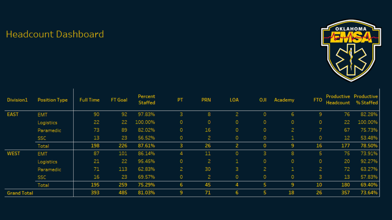## **Headcount Dashboard**



| Division1          | Position Type | <b>Full Time</b> | <b>FT Goal</b> | Percent<br>Staffed | PT             | <b>PRN</b> | LOA          | <b>OJI</b>     | Academy        | <b>FTO</b>   | Headcount | Productive Productive<br>% Staffed |
|--------------------|---------------|------------------|----------------|--------------------|----------------|------------|--------------|----------------|----------------|--------------|-----------|------------------------------------|
| <b>EAST</b>        | <b>EMT</b>    | 90               | 92             | 97.83%             | 3              | 8          | 2            | 0              | 6              | Э            | 76        | 82.28%                             |
|                    | Logistics     | 22               | 22             | 100.00%            | $\circ$        | 0          | 0            | 0              | 0              | $\circ$      | 22        | 100.00%                            |
|                    | Paramedic     | 73               | 89             | 82.02%             | $\circ$        | 16         | 0            | 0              | $\overline{c}$ | 7            | 67        | 75.73%                             |
|                    | <b>SSC</b>    | 13               | 23             | 56.52%             | $\circ$        | 2.         | $\circ$      | 0              | 1              | 0            | 12        | 53.48%                             |
|                    | Total         | 198              | 226            | 87.61%             | 3.             | 26         | 2            | 0              | 9              | 16           | 177       | 78.50%                             |
| <b>WEST</b>        | <b>EMT</b>    | 87               | 101            | 86.14%             | 4              | 11         | $\circ$      | 3              | 8              | 5            | 75        | 73.91%                             |
|                    | Logistics     | 21               | 22             | 95.45%             | $\circ$        | 2          | $\mathbf{1}$ | 0              | $\circ$        | $\circ$      | 20        | 92.27%                             |
|                    | Paramedic     | 71               | 113            | 62.83%             | $\mathbf{2}$   | 30         | 3            | $\overline{c}$ | 1              | $\mathbf{2}$ | 72        | 63.27%                             |
|                    | <b>SSC</b>    | 16               | 23             | 69.57%             | $\circ$        | 2          | $\circ$      | 0              | 0              | 3            | 13        | 57.83%                             |
|                    | Total         | 195              | 259            | 75.29%             | 6              | 45         | 4            | 5              | 9              | 10           | 180       | 69.40%                             |
| <b>Grand Total</b> |               | 393              | 485            | 81.03%             | $\overline{9}$ | 71         | 6            | 5              | 18             | 26           | 357       | 73.64%                             |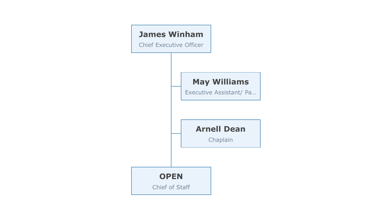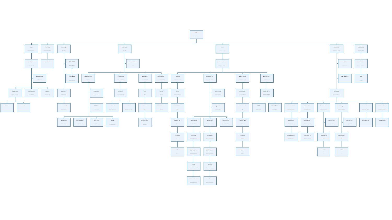

**OPEN**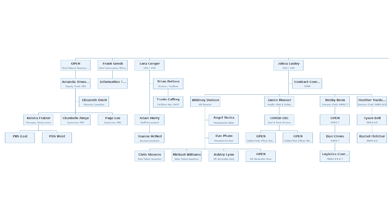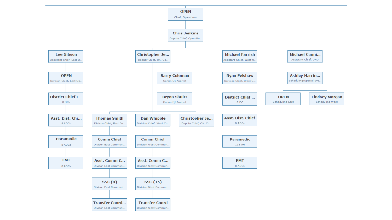